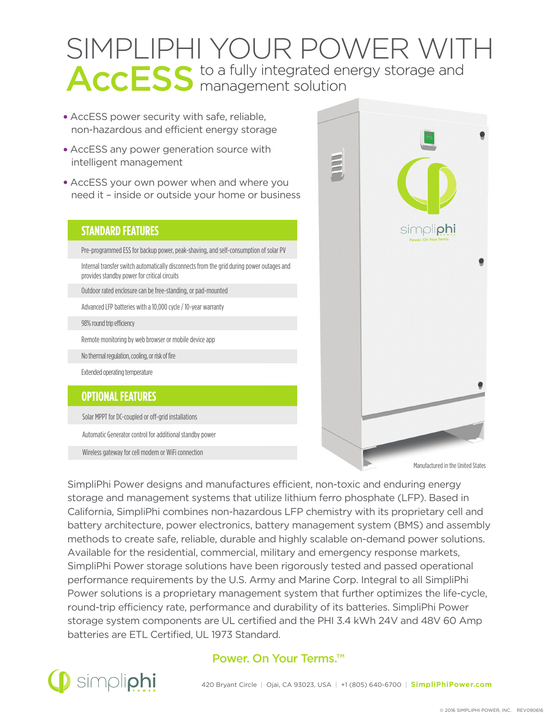# SIMPLIPHI YOUR POWER WITH AccESS to a fully integrated energy storage and

- AccESS power security with safe, reliable, non-hazardous and efficient energy storage
- AccESS any power generation source with intelligent management
- AccESS your own power when and where you need it – inside or outside your home or business

#### **STANDARD FEATURES**

Pre-programmed ESS for backup power, peak-shaving, and self-consumption of solar PV

Internal transfer switch automatically disconnects from the grid during power outages and provides standby power for critical circuits

Outdoor rated enclosure can be free-standing, or pad-mounted

Advanced LFP batteries with a 10,000 cycle / 10-year warranty

98% round trip efficiency

Remote monitoring by web browser or mobile device app

No thermal regulation, cooling, or risk of fire

Extended operating temperature

#### **OPTIONAL FEATURES**

Solar MPPT for DC-coupled or off-grid installations

Automatic Generator control for additional standby power

Wireless gateway for cell modem or WiFi connection



SimpliPhi Power designs and manufactures efficient, non-toxic and enduring energy storage and management systems that utilize lithium ferro phosphate (LFP). Based in California, SimpliPhi combines non-hazardous LFP chemistry with its proprietary cell and battery architecture, power electronics, battery management system (BMS) and assembly methods to create safe, reliable, durable and highly scalable on-demand power solutions. Available for the residential, commercial, military and emergency response markets, SimpliPhi Power storage solutions have been rigorously tested and passed operational performance requirements by the U.S. Army and Marine Corp. Integral to all SimpliPhi Power solutions is a proprietary management system that further optimizes the life-cycle, round-trip efficiency rate, performance and durability of its batteries. SimpliPhi Power storage system components are UL certified and the PHI 3.4 kWh 24V and 48V 60 Amp batteries are ETL Certified, UL 1973 Standard.



#### Power. On Your Terms.™